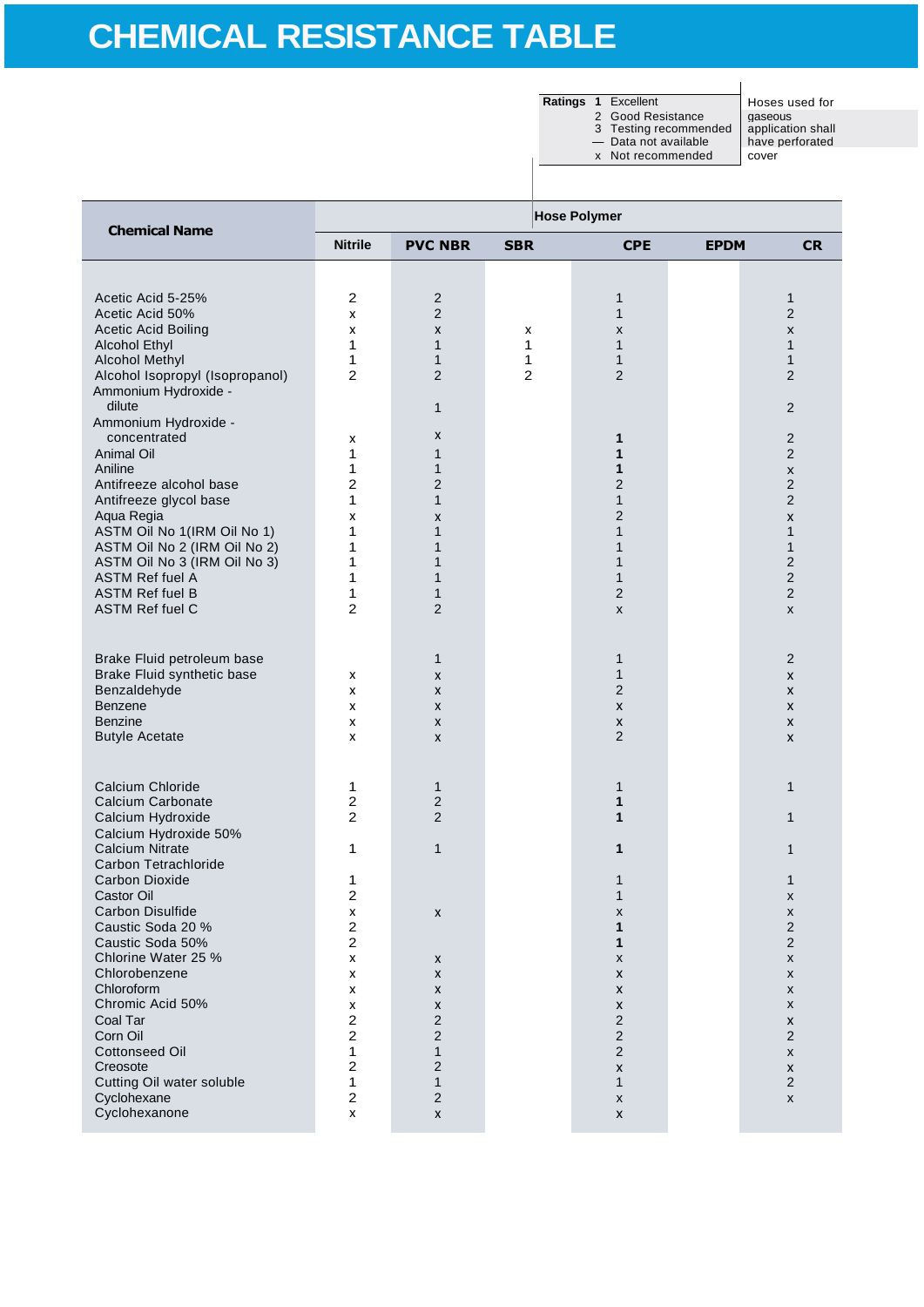**Ratings 1** Excellent Hoses used for<br>
2 Good Resistance gaseous<br>
3 Testing recommended application shall 2 Good Resistance | gaseous 3 Testing recommended | application shall

— Data not available have perforated

x Not recommended | cover

| <b>Chemical Name</b>                                                                                                                                                                                                                                                                                                                                                                                                                                       | <b>Hose Polymer</b>                                                                                                                                                        |                                                                                                                                            |                |                                                                                                                               |             |                                                                                                                                                                                |  |
|------------------------------------------------------------------------------------------------------------------------------------------------------------------------------------------------------------------------------------------------------------------------------------------------------------------------------------------------------------------------------------------------------------------------------------------------------------|----------------------------------------------------------------------------------------------------------------------------------------------------------------------------|--------------------------------------------------------------------------------------------------------------------------------------------|----------------|-------------------------------------------------------------------------------------------------------------------------------|-------------|--------------------------------------------------------------------------------------------------------------------------------------------------------------------------------|--|
|                                                                                                                                                                                                                                                                                                                                                                                                                                                            | <b>Nitrile</b>                                                                                                                                                             | <b>PVC NBR</b>                                                                                                                             | <b>SBR</b>     | <b>CPE</b>                                                                                                                    | <b>EPDM</b> | <b>CR</b>                                                                                                                                                                      |  |
|                                                                                                                                                                                                                                                                                                                                                                                                                                                            |                                                                                                                                                                            |                                                                                                                                            |                |                                                                                                                               |             |                                                                                                                                                                                |  |
| Acetic Acid 5-25%                                                                                                                                                                                                                                                                                                                                                                                                                                          | $\overline{2}$                                                                                                                                                             | $\overline{2}$                                                                                                                             |                | $\mathbf{1}$                                                                                                                  |             | 1                                                                                                                                                                              |  |
| Acetic Acid 50%                                                                                                                                                                                                                                                                                                                                                                                                                                            | x                                                                                                                                                                          | $\overline{2}$                                                                                                                             |                | $\mathbf{1}$                                                                                                                  |             | $\overline{2}$                                                                                                                                                                 |  |
| <b>Acetic Acid Boiling</b>                                                                                                                                                                                                                                                                                                                                                                                                                                 | X                                                                                                                                                                          | X                                                                                                                                          | х              | х                                                                                                                             |             | $\pmb{\times}$                                                                                                                                                                 |  |
| <b>Alcohol Ethyl</b><br><b>Alcohol Methyl</b>                                                                                                                                                                                                                                                                                                                                                                                                              | 1<br>1                                                                                                                                                                     | $\mathbf{1}$<br>$\mathbf{1}$                                                                                                               | 1<br>1         | 1<br>$\mathbf{1}$                                                                                                             |             | $\mathbf{1}$<br>$\mathbf{1}$                                                                                                                                                   |  |
| Alcohol Isopropyl (Isopropanol)                                                                                                                                                                                                                                                                                                                                                                                                                            | $\overline{c}$                                                                                                                                                             | $\overline{2}$                                                                                                                             | $\overline{2}$ | $\overline{2}$                                                                                                                |             | $\overline{2}$                                                                                                                                                                 |  |
| Ammonium Hydroxide -                                                                                                                                                                                                                                                                                                                                                                                                                                       |                                                                                                                                                                            |                                                                                                                                            |                |                                                                                                                               |             |                                                                                                                                                                                |  |
| dilute                                                                                                                                                                                                                                                                                                                                                                                                                                                     |                                                                                                                                                                            | 1                                                                                                                                          |                |                                                                                                                               |             | 2                                                                                                                                                                              |  |
| Ammonium Hydroxide -<br>concentrated                                                                                                                                                                                                                                                                                                                                                                                                                       | x                                                                                                                                                                          | X                                                                                                                                          |                | 1                                                                                                                             |             | $\overline{2}$                                                                                                                                                                 |  |
| <b>Animal Oil</b>                                                                                                                                                                                                                                                                                                                                                                                                                                          | 1                                                                                                                                                                          | 1                                                                                                                                          |                | 1                                                                                                                             |             | $\overline{2}$                                                                                                                                                                 |  |
| Aniline                                                                                                                                                                                                                                                                                                                                                                                                                                                    | 1                                                                                                                                                                          | 1                                                                                                                                          |                | 1                                                                                                                             |             | $\pmb{\times}$                                                                                                                                                                 |  |
| Antifreeze alcohol base                                                                                                                                                                                                                                                                                                                                                                                                                                    | $\overline{2}$                                                                                                                                                             | $\overline{2}$                                                                                                                             |                | $\overline{2}$                                                                                                                |             | $\overline{2}$                                                                                                                                                                 |  |
| Antifreeze glycol base                                                                                                                                                                                                                                                                                                                                                                                                                                     | 1                                                                                                                                                                          | $\mathbf{1}$                                                                                                                               |                | $\mathbf{1}$                                                                                                                  |             | $\overline{2}$                                                                                                                                                                 |  |
| Aqua Regia<br>ASTM Oil No 1(IRM Oil No 1)                                                                                                                                                                                                                                                                                                                                                                                                                  | X<br>1                                                                                                                                                                     | X<br>$\mathbf{1}$                                                                                                                          |                | 2<br>1                                                                                                                        |             | $\pmb{\mathsf{X}}$<br>$\mathbf{1}$                                                                                                                                             |  |
| ASTM Oil No 2 (IRM Oil No 2)                                                                                                                                                                                                                                                                                                                                                                                                                               | 1                                                                                                                                                                          | $\mathbf{1}$                                                                                                                               |                | 1                                                                                                                             |             | $\mathbf{1}$                                                                                                                                                                   |  |
| ASTM Oil No 3 (IRM Oil No 3)                                                                                                                                                                                                                                                                                                                                                                                                                               | 1                                                                                                                                                                          | 1                                                                                                                                          |                | 1                                                                                                                             |             | $\overline{c}$                                                                                                                                                                 |  |
|                                                                                                                                                                                                                                                                                                                                                                                                                                                            |                                                                                                                                                                            |                                                                                                                                            |                |                                                                                                                               |             |                                                                                                                                                                                |  |
|                                                                                                                                                                                                                                                                                                                                                                                                                                                            |                                                                                                                                                                            |                                                                                                                                            |                |                                                                                                                               |             |                                                                                                                                                                                |  |
|                                                                                                                                                                                                                                                                                                                                                                                                                                                            |                                                                                                                                                                            |                                                                                                                                            |                |                                                                                                                               |             |                                                                                                                                                                                |  |
|                                                                                                                                                                                                                                                                                                                                                                                                                                                            |                                                                                                                                                                            |                                                                                                                                            |                |                                                                                                                               |             |                                                                                                                                                                                |  |
|                                                                                                                                                                                                                                                                                                                                                                                                                                                            |                                                                                                                                                                            | 1                                                                                                                                          |                | 1                                                                                                                             |             | 2                                                                                                                                                                              |  |
|                                                                                                                                                                                                                                                                                                                                                                                                                                                            |                                                                                                                                                                            |                                                                                                                                            |                |                                                                                                                               |             |                                                                                                                                                                                |  |
|                                                                                                                                                                                                                                                                                                                                                                                                                                                            |                                                                                                                                                                            |                                                                                                                                            |                |                                                                                                                               |             |                                                                                                                                                                                |  |
| <b>Benzine</b>                                                                                                                                                                                                                                                                                                                                                                                                                                             | x                                                                                                                                                                          | X                                                                                                                                          |                | X                                                                                                                             |             | X                                                                                                                                                                              |  |
| <b>Butyle Acetate</b>                                                                                                                                                                                                                                                                                                                                                                                                                                      | x                                                                                                                                                                          | X                                                                                                                                          |                | $\overline{2}$                                                                                                                |             | X                                                                                                                                                                              |  |
|                                                                                                                                                                                                                                                                                                                                                                                                                                                            |                                                                                                                                                                            |                                                                                                                                            |                |                                                                                                                               |             |                                                                                                                                                                                |  |
|                                                                                                                                                                                                                                                                                                                                                                                                                                                            |                                                                                                                                                                            |                                                                                                                                            |                |                                                                                                                               |             |                                                                                                                                                                                |  |
| Calcium Carbonate                                                                                                                                                                                                                                                                                                                                                                                                                                          | $\boldsymbol{2}$                                                                                                                                                           | $\overline{2}$                                                                                                                             |                | 1                                                                                                                             |             |                                                                                                                                                                                |  |
|                                                                                                                                                                                                                                                                                                                                                                                                                                                            |                                                                                                                                                                            |                                                                                                                                            |                |                                                                                                                               |             |                                                                                                                                                                                |  |
|                                                                                                                                                                                                                                                                                                                                                                                                                                                            |                                                                                                                                                                            |                                                                                                                                            |                |                                                                                                                               |             |                                                                                                                                                                                |  |
|                                                                                                                                                                                                                                                                                                                                                                                                                                                            |                                                                                                                                                                            |                                                                                                                                            |                |                                                                                                                               |             |                                                                                                                                                                                |  |
| <b>Carbon Dioxide</b>                                                                                                                                                                                                                                                                                                                                                                                                                                      | 1                                                                                                                                                                          |                                                                                                                                            |                | 1                                                                                                                             |             | 1                                                                                                                                                                              |  |
| Castor Oil                                                                                                                                                                                                                                                                                                                                                                                                                                                 |                                                                                                                                                                            |                                                                                                                                            |                | $\mathbf 1$                                                                                                                   |             | x                                                                                                                                                                              |  |
|                                                                                                                                                                                                                                                                                                                                                                                                                                                            |                                                                                                                                                                            |                                                                                                                                            |                |                                                                                                                               |             |                                                                                                                                                                                |  |
|                                                                                                                                                                                                                                                                                                                                                                                                                                                            |                                                                                                                                                                            |                                                                                                                                            |                |                                                                                                                               |             |                                                                                                                                                                                |  |
| Chlorine Water 25 %                                                                                                                                                                                                                                                                                                                                                                                                                                        | X                                                                                                                                                                          | X                                                                                                                                          |                | X                                                                                                                             |             | $\pmb{\times}$                                                                                                                                                                 |  |
| Chlorobenzene                                                                                                                                                                                                                                                                                                                                                                                                                                              | X                                                                                                                                                                          | X                                                                                                                                          |                | X                                                                                                                             |             | X                                                                                                                                                                              |  |
|                                                                                                                                                                                                                                                                                                                                                                                                                                                            | x                                                                                                                                                                          | X                                                                                                                                          |                | X                                                                                                                             |             | X                                                                                                                                                                              |  |
|                                                                                                                                                                                                                                                                                                                                                                                                                                                            |                                                                                                                                                                            |                                                                                                                                            |                |                                                                                                                               |             |                                                                                                                                                                                |  |
| Corn Oil                                                                                                                                                                                                                                                                                                                                                                                                                                                   | $\overline{c}$                                                                                                                                                             | $\overline{c}$                                                                                                                             |                |                                                                                                                               |             | $\overline{2}$                                                                                                                                                                 |  |
| <b>Cottonseed Oil</b>                                                                                                                                                                                                                                                                                                                                                                                                                                      | 1                                                                                                                                                                          | $\mathbf{1}$                                                                                                                               |                | $\overline{2}$                                                                                                                |             | $\pmb{\times}$                                                                                                                                                                 |  |
| Creosote                                                                                                                                                                                                                                                                                                                                                                                                                                                   | $\overline{c}$                                                                                                                                                             | $\overline{2}$                                                                                                                             |                | X                                                                                                                             |             | X                                                                                                                                                                              |  |
|                                                                                                                                                                                                                                                                                                                                                                                                                                                            |                                                                                                                                                                            |                                                                                                                                            |                |                                                                                                                               |             |                                                                                                                                                                                |  |
| Cyclohexanone                                                                                                                                                                                                                                                                                                                                                                                                                                              | x                                                                                                                                                                          | X                                                                                                                                          |                | X                                                                                                                             |             |                                                                                                                                                                                |  |
| <b>ASTM Ref fuel A</b><br><b>ASTM Ref fuel B</b><br><b>ASTM Ref fuel C</b><br>Brake Fluid petroleum base<br>Brake Fluid synthetic base<br>Benzaldehyde<br><b>Benzene</b><br>Calcium Chloride<br>Calcium Hydroxide<br>Calcium Hydroxide 50%<br><b>Calcium Nitrate</b><br>Carbon Tetrachloride<br><b>Carbon Disulfide</b><br>Caustic Soda 20 %<br>Caustic Soda 50%<br>Chloroform<br>Chromic Acid 50%<br>Coal Tar<br>Cutting Oil water soluble<br>Cyclohexane | 1<br>1<br>$\overline{c}$<br>x<br>x<br>x<br>1<br>$\overline{2}$<br>1<br>$\overline{c}$<br>x<br>2<br>$\overline{c}$<br>X<br>$\overline{\mathbf{c}}$<br>1<br>$\boldsymbol{2}$ | $\mathbf{1}$<br>1<br>$\overline{2}$<br>X<br>X<br>X<br>1<br>$\overline{2}$<br>$\mathbf{1}$<br>X<br>X<br>2<br>$\mathbf{1}$<br>$\overline{2}$ |                | 1<br>2<br>X<br>1<br>$\overline{2}$<br>X<br>1<br>1<br>1<br>X<br>1<br>1<br>X<br>$\mathbf 2$<br>$\mathbf 2$<br>$\mathbf{1}$<br>X |             | $\overline{c}$<br>$\overline{2}$<br>X<br>X<br>X<br>X<br>$\mathbf{1}$<br>$\mathbf{1}$<br>$\mathbf{1}$<br>X<br>$\overline{2}$<br>$\overline{2}$<br>X<br>X<br>$\overline{2}$<br>X |  |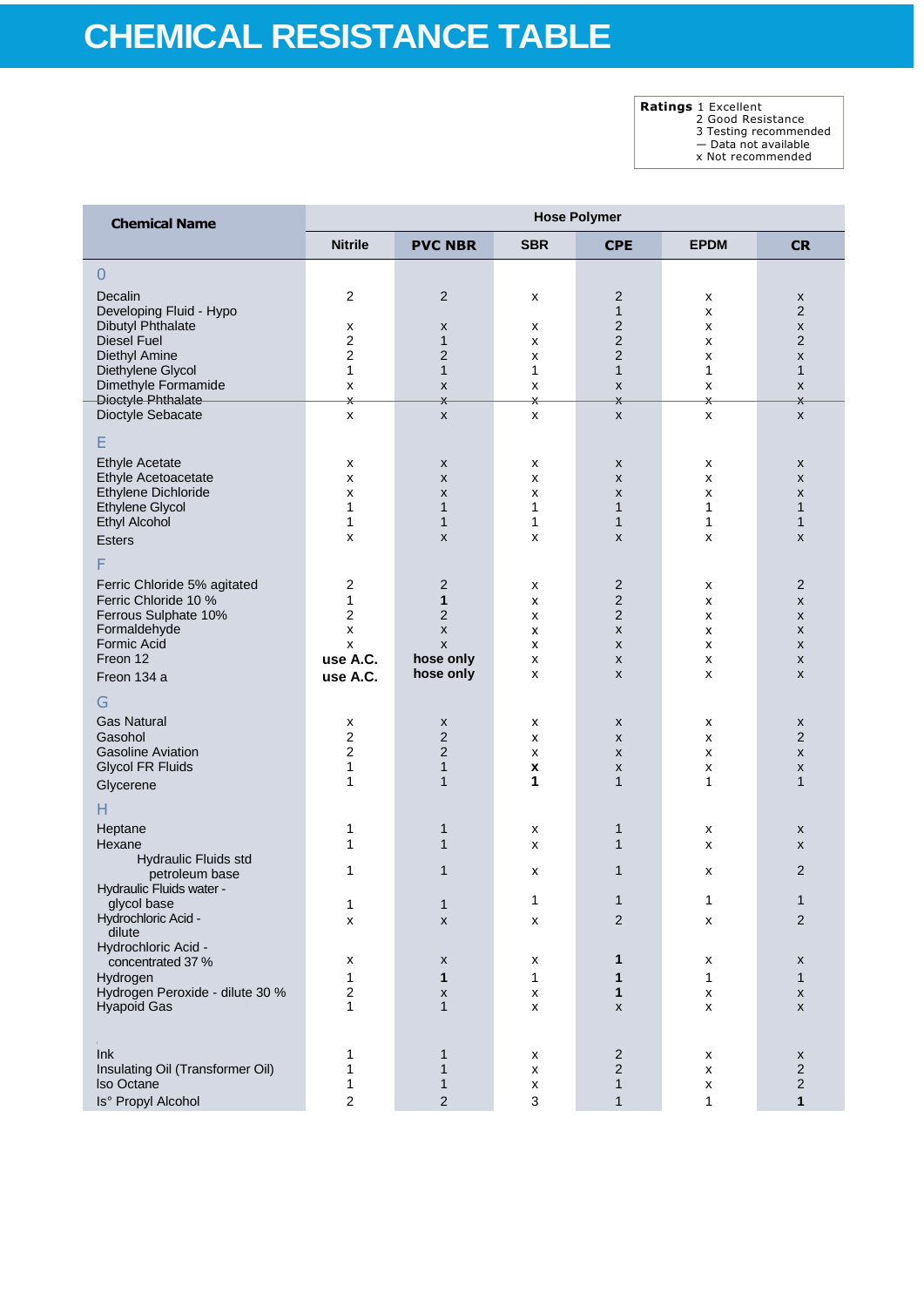**Ratings** 1 Excellent 2 Good Resistance

3 Testing recommended

— Data not available x Not recommended

| <b>Chemical Name</b>                                  | <b>Hose Polymer</b> |                                |            |                                |                         |                              |  |
|-------------------------------------------------------|---------------------|--------------------------------|------------|--------------------------------|-------------------------|------------------------------|--|
|                                                       | <b>Nitrile</b>      | <b>PVC NBR</b>                 | <b>SBR</b> | <b>CPE</b>                     | <b>EPDM</b>             | <b>CR</b>                    |  |
| $\overline{0}$                                        |                     |                                |            |                                |                         |                              |  |
| Decalin                                               | 2                   | $\overline{2}$                 | x          | 2                              | x                       | X                            |  |
| Developing Fluid - Hypo                               |                     |                                |            | $\mathbf{1}$                   | x                       | $\overline{2}$               |  |
| Dibutyl Phthalate                                     | X                   | x                              | x          | 2                              | x                       | X                            |  |
| <b>Diesel Fuel</b>                                    | $\overline{2}$      | $\mathbf{1}$                   | x          | $\overline{c}$                 | x                       | $\overline{2}$               |  |
| Diethyl Amine<br>Diethylene Glycol                    | $\overline{2}$<br>1 | $\overline{c}$<br>$\mathbf{1}$ | x<br>1     | $\overline{c}$<br>$\mathbf{1}$ | x<br>$\mathbf 1$        | X<br>$\mathbf{1}$            |  |
| Dimethyle Formamide                                   | x                   | X                              | X          | X                              | x                       | X                            |  |
| Dioctyle Phthalate                                    | $\star$             | $\overline{\mathsf{x}}$        | X.         | $\mathsf{X}$                   | $\overline{\mathsf{x}}$ | X                            |  |
| Dioctyle Sebacate                                     | x                   | X                              | X          | X                              | X                       | x                            |  |
| Ε                                                     |                     |                                |            |                                |                         |                              |  |
| <b>Ethyle Acetate</b>                                 | X                   | X                              | x          | X                              | x                       | X                            |  |
| Ethyle Acetoacetate                                   | x                   | X                              | x          | $\pmb{\mathsf{x}}$             | x                       | X                            |  |
| Ethylene Dichloride                                   | x                   | X                              | x          | X                              | x                       | X                            |  |
| <b>Ethylene Glycol</b><br><b>Ethyl Alcohol</b>        | $\mathbf{1}$<br>1   | $\mathbf{1}$<br>$\mathbf{1}$   | 1<br>1     | $\mathbf{1}$<br>$\mathbf{1}$   | $\mathbf{1}$<br>1       | $\mathbf{1}$<br>$\mathbf{1}$ |  |
| Esters                                                | X                   | X                              | x          | X                              | x                       | X                            |  |
| F                                                     |                     |                                |            |                                |                         |                              |  |
|                                                       |                     |                                |            |                                |                         |                              |  |
| Ferric Chloride 5% agitated<br>Ferric Chloride 10 %   | $\overline{2}$<br>1 | $\overline{2}$<br>$\mathbf{1}$ | x<br>X     | 2<br>2                         | x                       | 2<br>X                       |  |
| Ferrous Sulphate 10%                                  | $\overline{2}$      | $\overline{2}$                 | x          | $\overline{2}$                 | x<br>x                  | X                            |  |
| Formaldehyde                                          | $\pmb{\times}$      | $\pmb{\mathsf{x}}$             | x          | $\pmb{\mathsf{x}}$             | x                       | X                            |  |
| Formic Acid                                           | x                   | X                              | x          | X                              | x                       | X                            |  |
| Freon 12                                              | use A.C.            | hose only                      | x          | X                              | x                       | X                            |  |
| Freon 134 a                                           | use A.C.            | hose only                      | X          | X                              | x                       | X                            |  |
| G                                                     |                     |                                |            |                                |                         |                              |  |
| <b>Gas Natural</b>                                    | X                   | X                              | X          | X                              | x                       | X                            |  |
| Gasohol                                               | $\overline{c}$      | $\overline{c}$                 | X          | X                              | x                       | $\overline{2}$               |  |
| <b>Gasoline Aviation</b><br><b>Glycol FR Fluids</b>   | $\overline{c}$<br>1 | $\overline{2}$<br>$\mathbf{1}$ | x          | X                              | x                       | X                            |  |
| Glycerene                                             | 1                   | 1                              | X<br>1     | X<br>$\mathbf{1}$              | x<br>1                  | X<br>1                       |  |
|                                                       |                     |                                |            |                                |                         |                              |  |
| н                                                     |                     |                                |            |                                |                         |                              |  |
| Heptane<br>Hexane                                     | 1<br>1              | 1<br>$\mathbf{1}$              | x<br>x     | 1<br>$\mathbf{1}$              | x<br>x                  | X<br>X                       |  |
| Hydraulic Fluids std                                  |                     |                                |            |                                |                         |                              |  |
| petroleum base                                        | 1                   | $\mathbf{1}$                   | x          | 1                              | x                       | 2                            |  |
| Hydraulic Fluids water -                              |                     |                                |            |                                |                         | $\overline{A}$               |  |
| glycol base                                           | 1                   | 1                              | 1          | $\mathbf{1}$                   | 1                       |                              |  |
| Hydrochloric Acid -<br>dilute                         | X                   | X                              | x          | 2                              | x                       | 2                            |  |
| Hydrochloric Acid -                                   |                     |                                |            |                                |                         |                              |  |
| concentrated 37 %                                     | х                   | x                              | х          | 1                              | x                       | X                            |  |
| Hydrogen                                              | 1                   | 1                              | 1          | 1                              | 1                       | $\mathbf{1}$                 |  |
| Hydrogen Peroxide - dilute 30 %                       | 2                   | X                              | х          | 1                              | X                       | X                            |  |
| <b>Hyapoid Gas</b>                                    | 1                   | $\mathbf{1}$                   | X          | X                              | x                       | X                            |  |
|                                                       |                     |                                |            |                                |                         |                              |  |
| Ink                                                   | 1                   | 1                              | х          | 2                              | x                       | X                            |  |
| Insulating Oil (Transformer Oil)<br><b>Iso Octane</b> | 1<br>1              | 1<br>1                         | x<br>X     | $\overline{2}$<br>$\mathbf{1}$ | x<br>x                  | 2<br>$\overline{\mathbf{c}}$ |  |
| Is° Propyl Alcohol                                    | 2                   | $\overline{2}$                 | 3          | $\mathbf{1}$                   | $\mathbf{1}$            | $\mathbf{1}$                 |  |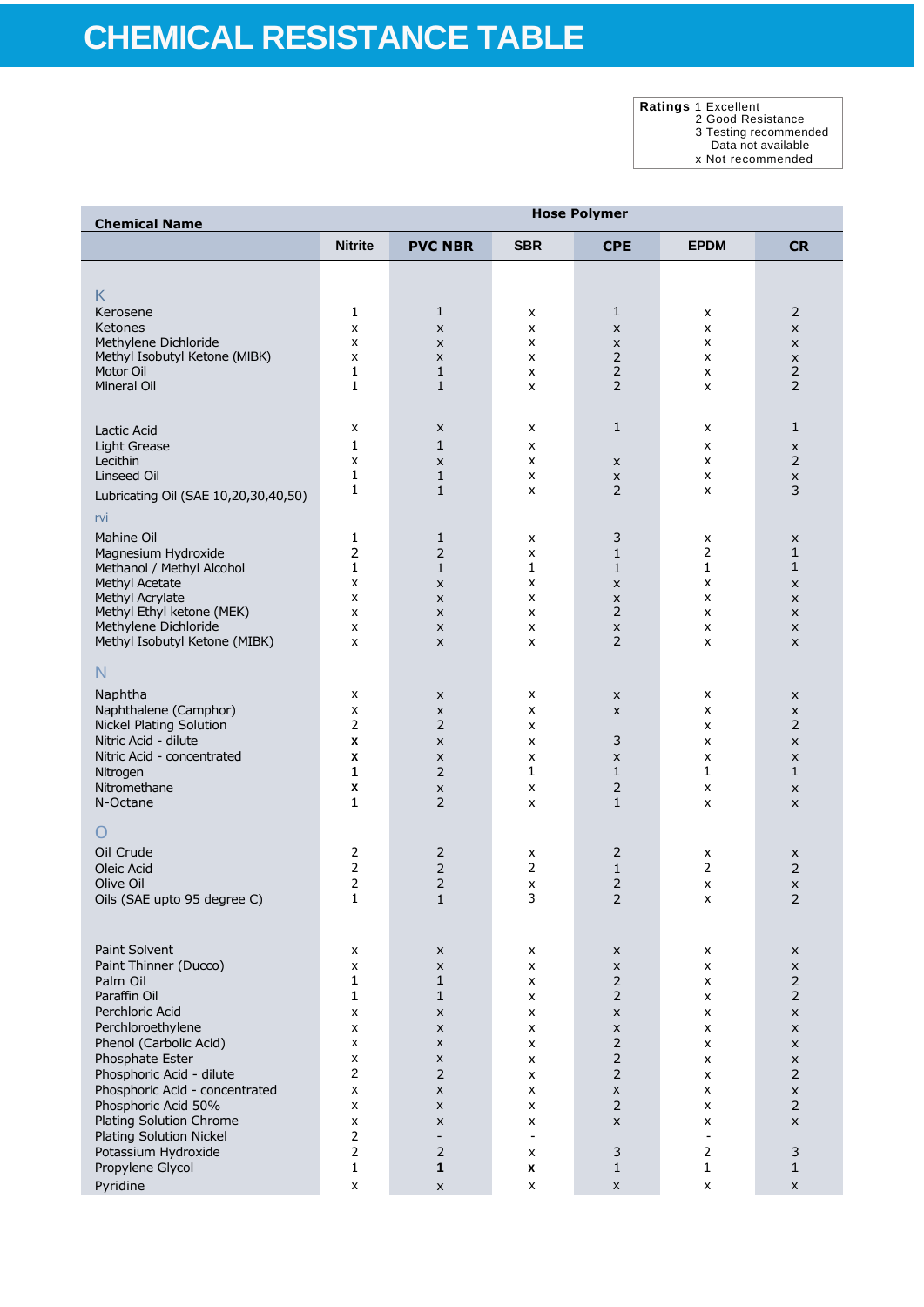**Ratings** 1 Excellent 2 Good Resistance

3 Testing recommended

— Data not available

x Not recommended

| <b>Chemical Name</b>                                  | <b>Hose Polymer</b>     |                               |                    |                                  |                |                                           |
|-------------------------------------------------------|-------------------------|-------------------------------|--------------------|----------------------------------|----------------|-------------------------------------------|
|                                                       | <b>Nitrite</b>          | <b>PVC NBR</b>                | <b>SBR</b>         | <b>CPE</b>                       | <b>EPDM</b>    | <b>CR</b>                                 |
|                                                       |                         |                               |                    |                                  |                |                                           |
| K                                                     |                         |                               |                    |                                  |                |                                           |
| Kerosene                                              | 1                       | $\mathbf{1}$                  | x                  | $\mathbf{1}$                     | x              | $\overline{2}$                            |
| Ketones                                               | x                       | x                             | x                  | $\pmb{\times}$                   | x              | X                                         |
| Methylene Dichloride                                  | x                       | X                             | x                  | X                                | x              | X                                         |
| Methyl Isobutyl Ketone (MIBK)<br>Motor Oil            | x<br>1                  | X<br>1                        | x<br>x             | $\overline{2}$<br>2              | X<br>X         | x<br>$\overline{2}$                       |
| Mineral Oil                                           | 1                       | $\mathbf{1}$                  | X                  | $\overline{2}$                   | X              | $\overline{2}$                            |
|                                                       |                         |                               |                    |                                  |                |                                           |
| Lactic Acid                                           | x                       | x                             | x                  | $\mathbf{1}$                     | X              | $\mathbf{1}$                              |
| Light Grease                                          | 1                       | 1                             | x                  |                                  | X              | x                                         |
| Lecithin                                              | x                       | x                             | x                  | X                                | X              | $\overline{2}$                            |
| Linseed Oil                                           | 1<br>1                  | $\mathbf{1}$<br>$\mathbf{1}$  | x                  | $\pmb{\times}$<br>$\overline{2}$ | X              | X<br>3                                    |
| Lubricating Oil (SAE 10,20,30,40,50)                  |                         |                               | x                  |                                  | X              |                                           |
| rvi                                                   |                         |                               |                    |                                  |                |                                           |
| <b>Mahine Oil</b>                                     | 1                       | $1\,$                         | x                  | 3                                | x              | X                                         |
| Magnesium Hydroxide                                   | $\overline{2}$          | $\overline{2}$                | x                  | $\mathbf{1}$                     | $\overline{2}$ | $\mathbf{1}$                              |
| Methanol / Methyl Alcohol                             | 1                       | $\mathbf{1}$                  | $\mathbf{1}$       | $\mathbf{1}$                     | 1              | $\mathbf{1}$                              |
| Methyl Acetate<br>Methyl Acrylate                     | x<br>x                  | X<br>X                        | x<br>x             | $\pmb{\times}$<br>$\pmb{\times}$ | x<br>x         | x<br>x                                    |
| Methyl Ethyl ketone (MEK)                             | x                       | X                             | X                  | 2                                | X              | X                                         |
| Methylene Dichloride                                  | x                       | X                             | x                  | $\pmb{\times}$                   | x              | X                                         |
| Methyl Isobutyl Ketone (MIBK)                         | x                       | X                             | x                  | 2                                | x              | X                                         |
| N                                                     |                         |                               |                    |                                  |                |                                           |
| Naphtha                                               | x                       | x                             | x                  | X                                | X              | X                                         |
| Naphthalene (Camphor)                                 | x                       | x                             | x                  | X                                | x              | X                                         |
| <b>Nickel Plating Solution</b>                        | 2                       | $\overline{2}$                | x                  |                                  | x              | $\overline{2}$                            |
| Nitric Acid - dilute                                  | X                       | X                             | x                  | 3                                | x              | X                                         |
| Nitric Acid - concentrated                            | X                       | x                             | x                  | X                                | X              | X                                         |
| Nitrogen                                              | 1                       | $\overline{2}$                | 1                  | $\mathbf{1}$                     | $\mathbf 1$    | 1                                         |
| Nitromethane<br>N-Octane                              | $\pmb{\mathsf{x}}$<br>1 | X<br>$\overline{2}$           | x<br>x             | $\overline{2}$<br>$\mathbf{1}$   | x<br>x         | X<br>X                                    |
|                                                       |                         |                               |                    |                                  |                |                                           |
| $\cup$                                                |                         |                               |                    |                                  |                |                                           |
| Oil Crude                                             | 2                       | $\overline{2}$                | x                  | 2                                | x              | x                                         |
| Oleic Acid                                            | $\overline{2}$          | $\overline{2}$                | 2                  | $\mathbf{1}$                     | 2              | $\overline{2}$                            |
| Olive Oil<br>Oils (SAE upto 95 degree C)              | $\overline{2}$<br>1     | $\overline{2}$<br>$\mathbf 1$ | X<br>3             | $\overline{2}$<br>2              | x<br>X         | $\pmb{\times}$<br>$\overline{\mathbf{c}}$ |
|                                                       |                         |                               |                    |                                  |                |                                           |
|                                                       |                         |                               |                    |                                  |                |                                           |
| Paint Solvent                                         | x                       | x                             | x                  | $\pmb{\mathsf{X}}$               | X              | X                                         |
| Paint Thinner (Ducco)                                 | x                       | X                             | X                  | $\pmb{\mathsf{X}}$               | X              | $\pmb{\times}$                            |
| Palm Oil<br>Paraffin Oil                              | 1<br>1                  | 1<br>$\mathbf{1}$             | X<br>X             | $\mathsf{2}\,$<br>$\overline{2}$ | X<br>x         | $\overline{2}$<br>$\overline{2}$          |
| Perchloric Acid                                       | x                       | $\pmb{\times}$                | X                  | $\pmb{\times}$                   | X              | $\pmb{\times}$                            |
| Perchloroethylene                                     | x                       | X                             | X                  | $\pmb{\mathsf{X}}$               | X              | $\pmb{\times}$                            |
| Phenol (Carbolic Acid)                                | X                       | X                             | x                  | $\overline{2}$                   | X              | X                                         |
| Phosphate Ester                                       | X                       | X                             | X                  | $\overline{2}$                   | X              | $\pmb{\times}$                            |
| Phosphoric Acid - dilute                              | $\overline{c}$          | $\mathsf{2}\,$                | X                  | $\mathsf{2}\,$                   | X              | $\mathsf{2}$                              |
| Phosphoric Acid - concentrated<br>Phosphoric Acid 50% | x                       | X                             | x                  | X<br>$\overline{2}$              | X              | x<br>$\overline{2}$                       |
| Plating Solution Chrome                               | X<br>x                  | X<br>X                        | X<br>x             | $\pmb{\mathsf{X}}$               | X<br>X         | $\pmb{\times}$                            |
| Plating Solution Nickel                               | 2                       | $\overline{\phantom{a}}$      | $\overline{a}$     |                                  | $\blacksquare$ |                                           |
| Potassium Hydroxide                                   | $\overline{2}$          | $\overline{2}$                | x                  | 3                                | 2              | 3                                         |
| Propylene Glycol                                      | $\mathbf{1}$            | 1                             | X                  | $\mathbf{1}$                     | $\mathbf 1$    | 1                                         |
| Pyridine                                              | $\pmb{\times}$          | $\pmb{\mathsf{X}}$            | $\pmb{\mathsf{x}}$ | $\pmb{\mathsf{X}}$               | X              | X                                         |